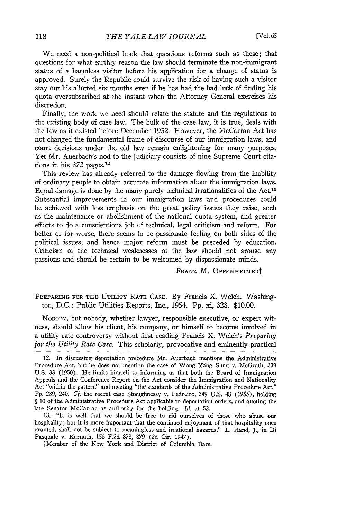We need a non-political book that questions reforms such as these; that questions for what earthly reason the law should terminate the non-immigrant status of a harmless visitor before his application for a change of status is approved. Surely the Republic could survive the risk of having such a visitor stay out his allotted six months even if he has had the bad luck of finding his quota oversubscribed at the instant when the Attorney General exercises his discretion.

Finally, the work we need should relate the statute and the regulations to the existing body of case law. The bulk of the case law, it is true, deals with the law as it existed before December 1952. However, the McCarran Act has not changed the fundamental frame of discourse of our immigration laws, and court decisions under the old law remain enlightening for many purposes. Yet Mr. Auerbach's nod to the judiciary consists of nine Supreme Court citations in his 372 pages.<sup>12</sup>

This review has already referred to the damage flowing from the inability of ordinary people to obtain accurate information about the immigration laws. Equal damage is done by the many purely technical irrationalities of the Act.<sup>13</sup> Substantial improvements in our immigration laws and procedures could be achieved with less emphasis on the great policy issues they raise, such as the maintenance or abolishment of the national quota system, and greater efforts to do a conscientious job of technical, legal criticism and reform. For better or for worse, there seems to be passionate feeling on both sides of the political issues, and hence major reform must be preceded by education. Criticism of the technical weaknesses of the law should not arouse any passions and should be certain to be welcomed by dispassionate minds.

FRANz M. OPPENHEIMERt

PREPARING FOR THE UTILITY RATE CASE. By Francis X. Welch. Washington, D.C.: Public Utilities Reports, Inc., 1954. Pp. xi, 323. \$10.00.

NOBODY, but nobody, whether lawyer, responsible executive, or expert witness, should allow his client, his company, or himself to become involved in a utility rate controversy without first reading Francis X. Velch's *Preparing for the Utility Rate Case.* This scholarly, provocative and eminently practical

13. "It is well that we should be free to rid ourselves of those who abuse our hospitality; but it is more important that the continued enjoyment of that hospitality once granted, shall not be subject to meaningless and irrational hazards." L. Hand, **J.,** in Di Pasquale v. Karnuth, 158 F.2d 878, 879 (2d Cir. 1947).

tMember of the New York and District of Columbia Bars.

<sup>12.</sup> In discussing deportation precedure Mr. Auerbach mentions the Administrative Procedure Act, but he does not mention the case of Wong Yang Sung v. McGrath, **339** U.S. 33 (1950). He limits himself to informing us that both the Board of Immigration Appeals and the Conference Report on the Act consider the Immigration and Nationality Act "within the pattern" and meeting "the standards of the Administrative Procedure Act." Pp. 239, 240. *Cf.* the recent case Shaughnessy v. Pedreiro, 349 U.S. 48 (1955), holding § 10 of the Administrative Procedure Act applicable to deportation orders, and quoting the late Senator McCarran as authority for the holding. *Id.* at 52.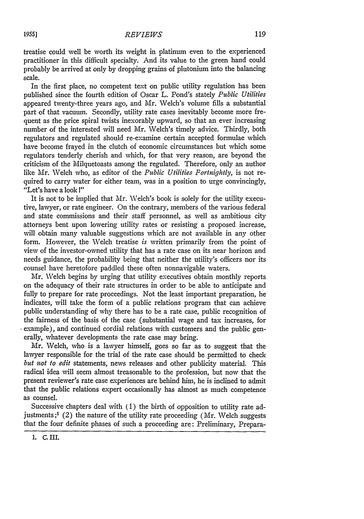In the first place, no competent text on public utility regulation has been published since the fourth edition of Oscar L. Pond's stately *Public Utilities* appeared twenty-three years ago, and Mr. Welch's volume fills a substantial part of that vacuum. Secondly, utility rate cases inevitably become more frequent as the price spiral twists inexorably upward, so that an ever increasing number of the interested will need Mr. Welch's timely advice. Thirdly, both regulators and regulated should re-examine certain accepted formulae which have become frayed in the clutch of economic circumstances but which some regulators tenderly cherish and which, for that very reason, are beyond the criticism of the Milquetoasts among the regulated. Therefore, only an author like Mr. Welch who, as editor of the *Public Utilities Fortnightly,* is not required to carry water for either team, was in a position to urge convincingly, "Let's have a look I"

It is not to be implied that Mr. Welch's book is solely for the utility executive, lawyer, or rate engineer. On the contrary, members of the various federal and state commissions and their staff personnel, as well as ambitious city attorneys bent upon lowering utility rates or resisting a proposed increase, will obtain many valuable suggestions which are not available in any other form. However, the Welch treatise *is* written primarily from the point of view of the investor-owned utility that has a rate case on its near horizon and needs guidance, the probability being that neither the utility's officers nor its counsel have heretofore paddled these often nonnavigable waters.

Mr. Welch begins by urging that utility executives obtain monthly reports on the adequacy of their rate structures in order to be able to anticipate and fully to prepare for rate proceedings. Not the least important preparation, he indicates, will take the form of a public relations program that can achieve public understanding of why there has to be a rate case, public recognition of the fairness of the basis of the case (substantial wage and tax increases, for \* example), and continued cordial relations with customers and the public generally, whatever developments the rate case may bring.

Mr. Welch, who is a lawyer himself, goes so far as to suggest that the lawyer responsible for the trial of the rate case should be permitted to check *but not to edit* statements, news releases and other publicity material. This radical idea will seem almost treasonable to the profession, but now that the present reviewer's rate case experiences are behind him, he is inclined to admit that the public relations expert occasionally has almost as much competence as counsel.

Successive chapters deal with (1) the birth of opposition to utility rate adjustments; $^1$  (2) the nature of the utility rate proceeding (Mr. Welch suggests that the four definite phases of such a proceeding are: Preliminary, Prepara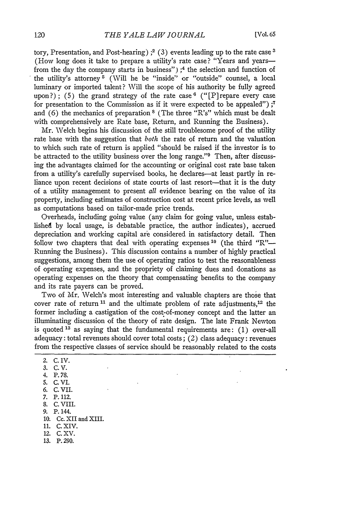tory, Presentation, and Post-hearing)  $;^{2}$  (3) events leading up to the rate case <sup>3</sup> (How long does it take to prepare a utility's rate case? "Years and yearsfrom the day the company starts in business")  $;4$  the selection and function of the utility's attorney **5** (Will he be "inside" or "outside" counsel, a local luminary or imported talent? Will the scope of his authority be fully agreed upon?); (5) the grand strategy of the rate case  $^6$  ("[P] repare every case for presentation to the Commission as if it were expected to be appealed") **;7** and (6) the mechanics of preparation **8** (The three "R's" which must be dealt with comprehensively are Rate base, Return, and Running the Business).

Mr. Welch begins his discussion of the still troublesome proof of the utility rate base with the suggestion that *both* the rate of return and the valuation to which such rate of return is applied "should be raised if the investor is to be attracted to the utility business over the long range." $9$  Then, after discussing the advantages claimed for the accounting or original cost rate base taken from a utility's carefully supervised books, he declares-at least partly in reliance upon recent decisions of state courts of last resort-that it is the duty of a utility management to present *all* evidence bearing on the value of its property, including estimates of construction cost at recent price levels, as well as computations based on tailor-made price trends.

Overheads, including going value (any claim for going value, unless establishe4 by local usage, is debatable practice, the author indicates), accrued depreciation and working capital are considered in satisfactory detail. Then follow two chapters that deal with operating expenses **10** (the third *"R"-* Running the Business). This discussion contains a number of highly practical suggestions, among them the use of operating ratios to test the reasonableness of operating expenses, and the propriety of claiming dues and donations as operating expenses on the theory that compensating benefits to the company and its rate payers can be proved.

Two of Mr. Welch's most interesting and valuable chapters are those that cover rate of return **11** and the ultimate problem of rate adjustments, 12 the former including a castigation of the cost-of-money concept and the latter an illuminating discussion of the theory of rate design. The late Frank Newton is quoted **13** as saying that the fundamental requirements are: (1) over-all adequacy: total revenues should cover total costs; (2) class adequacy: revenues from the respective classes of service should be reasonably related to the costs

- *3.* C.V.
- 4. P.78.
- 5. C. VI.
- *6.* C. VII.
- 7. P. 112.
- **S.** C. VIII.
- 9. P. 144.
- 10. Cc. XII and XIII.
- 11. C. XIV.
- 12. C. XV.
- 13. P. 290.

<sup>2.</sup> C. IV.